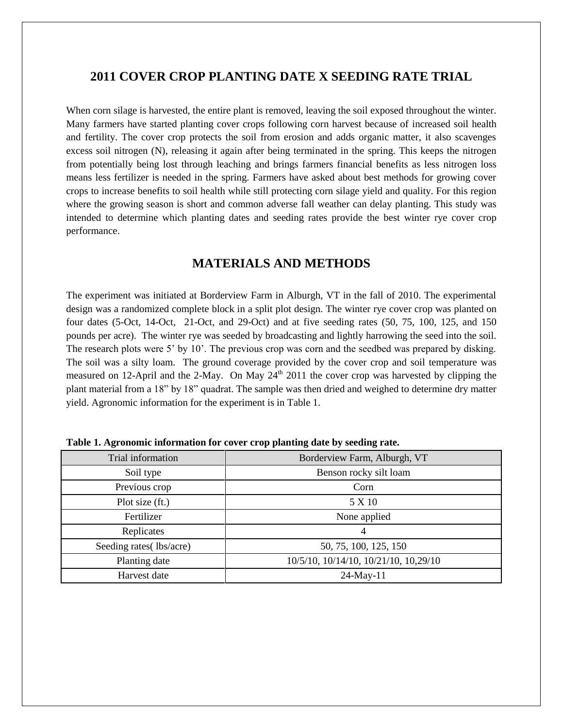# **2011 COVER CROP PLANTING DATE X SEEDING RATE TRIAL**

When corn silage is harvested, the entire plant is removed, leaving the soil exposed throughout the winter. Many farmers have started planting cover crops following corn harvest because of increased soil health and fertility. The cover crop protects the soil from erosion and adds organic matter, it also scavenges excess soil nitrogen (N), releasing it again after being terminated in the spring. This keeps the nitrogen from potentially being lost through leaching and brings farmers financial benefits as less nitrogen loss means less fertilizer is needed in the spring. Farmers have asked about best methods for growing cover crops to increase benefits to soil health while still protecting corn silage yield and quality. For this region where the growing season is short and common adverse fall weather can delay planting. This study was intended to determine which planting dates and seeding rates provide the best winter rye cover crop performance.

# **MATERIALS AND METHODS**

The experiment was initiated at Borderview Farm in Alburgh, VT in the fall of 2010. The experimental design was a randomized complete block in a split plot design. The winter rye cover crop was planted on four dates (5-Oct, 14-Oct, 21-Oct, and 29-Oct) and at five seeding rates (50, 75, 100, 125, and 150 pounds per acre). The winter rye was seeded by broadcasting and lightly harrowing the seed into the soil. The research plots were 5' by 10'. The previous crop was corn and the seedbed was prepared by disking. The soil was a silty loam. The ground coverage provided by the cover crop and soil temperature was measured on 12-April and the 2-May. On May  $24<sup>th</sup>$  2011 the cover crop was harvested by clipping the plant material from a 18" by 18" quadrat. The sample was then dried and weighed to determine dry matter yield. Agronomic information for the experiment is in Table 1.

| Trial information        | Borderview Farm, Alburgh, VT          |  |
|--------------------------|---------------------------------------|--|
| Soil type                | Benson rocky silt loam                |  |
| Previous crop            | Corn                                  |  |
| Plot size (ft.)          | 5 X 10                                |  |
| Fertilizer               | None applied                          |  |
| Replicates               | $\overline{4}$                        |  |
| Seeding rates (lbs/acre) | 50, 75, 100, 125, 150                 |  |
| Planting date            | 10/5/10, 10/14/10, 10/21/10, 10,29/10 |  |
| Harvest date             | 24-May-11                             |  |

**Table 1. Agronomic information for cover crop planting date by seeding rate.**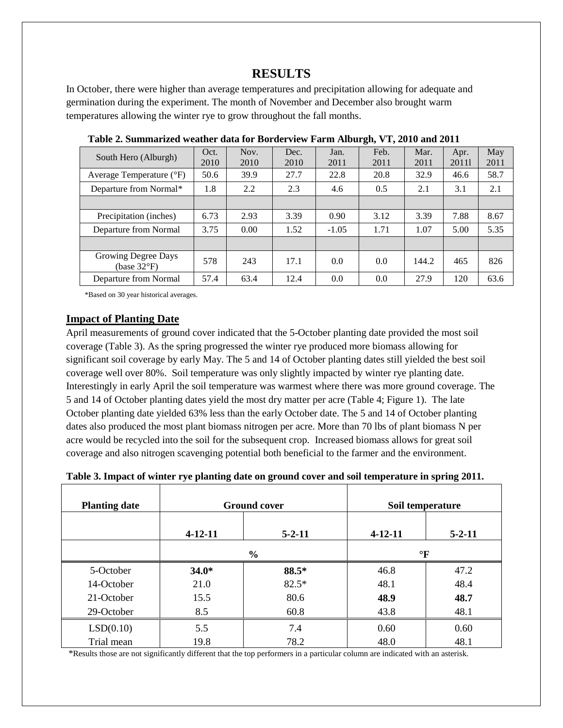# **RESULTS**

In October, there were higher than average temperatures and precipitation allowing for adequate and germination during the experiment. The month of November and December also brought warm temperatures allowing the winter rye to grow throughout the fall months.

| South Hero (Alburgh)               | Oct.<br>2010 | Nov.<br>2010 | Dec.<br>2010 | Jan.<br>2011 | Feb.<br>2011 | Mar.<br>2011 | Apr.<br>20111 | May<br>2011 |
|------------------------------------|--------------|--------------|--------------|--------------|--------------|--------------|---------------|-------------|
| Average Temperature (°F)           | 50.6         | 39.9         | 27.7         | 22.8         | 20.8         | 32.9         | 46.6          | 58.7        |
| Departure from Normal*             | 1.8          | 2.2          | 2.3          | 4.6          | 0.5          | 2.1          | 3.1           | 2.1         |
|                                    |              |              |              |              |              |              |               |             |
| Precipitation (inches)             | 6.73         | 2.93         | 3.39         | 0.90         | 3.12         | 3.39         | 7.88          | 8.67        |
| Departure from Normal              | 3.75         | 0.00         | 1.52         | $-1.05$      | 1.71         | 1.07         | 5.00          | 5.35        |
|                                    |              |              |              |              |              |              |               |             |
| Growing Degree Days<br>(base 32°F) | 578          | 243          | 17.1         | 0.0          | 0.0          | 144.2        | 465           | 826         |
| Departure from Normal              | 57.4         | 63.4         | 12.4         | 0.0          | 0.0          | 27.9         | 120           | 63.6        |

 **Table 2. Summarized weather data for Borderview Farm Alburgh, VT, 2010 and 2011**

\*Based on 30 year historical averages.

#### **Impact of Planting Date**

April measurements of ground cover indicated that the 5-October planting date provided the most soil coverage (Table 3). As the spring progressed the winter rye produced more biomass allowing for significant soil coverage by early May. The 5 and 14 of October planting dates still yielded the best soil coverage well over 80%. Soil temperature was only slightly impacted by winter rye planting date. Interestingly in early April the soil temperature was warmest where there was more ground coverage. The 5 and 14 of October planting dates yield the most dry matter per acre (Table 4; Figure 1). The late October planting date yielded 63% less than the early October date. The 5 and 14 of October planting dates also produced the most plant biomass nitrogen per acre. More than 70 lbs of plant biomass N per acre would be recycled into the soil for the subsequent crop. Increased biomass allows for great soil coverage and also nitrogen scavenging potential both beneficial to the farmer and the environment.

| <b>Planting date</b> | <b>Ground cover</b> |               | Soil temperature |              |
|----------------------|---------------------|---------------|------------------|--------------|
|                      | $4 - 12 - 11$       | $5 - 2 - 11$  | $4 - 12 - 11$    | $5 - 2 - 11$ |
|                      |                     | $\frac{0}{0}$ |                  | $\mathbf{F}$ |
| 5-October            | $34.0*$             | 88.5*         | 46.8             | 47.2         |
| 14-October           | 21.0                | $82.5*$       | 48.1             | 48.4         |
| 21-October           | 15.5                | 80.6          | 48.9             | 48.7         |
| 29-October           | 8.5                 | 60.8          | 43.8             | 48.1         |
| LSD(0.10)            | 5.5                 | 7.4           | 0.60             | 0.60         |
| Trial mean           | 19.8                | 78.2          | 48.0             | 48.1         |

**Table 3. Impact of winter rye planting date on ground cover and soil temperature in spring 2011.**

\*Results those are not significantly different that the top performers in a particular column are indicated with an asterisk.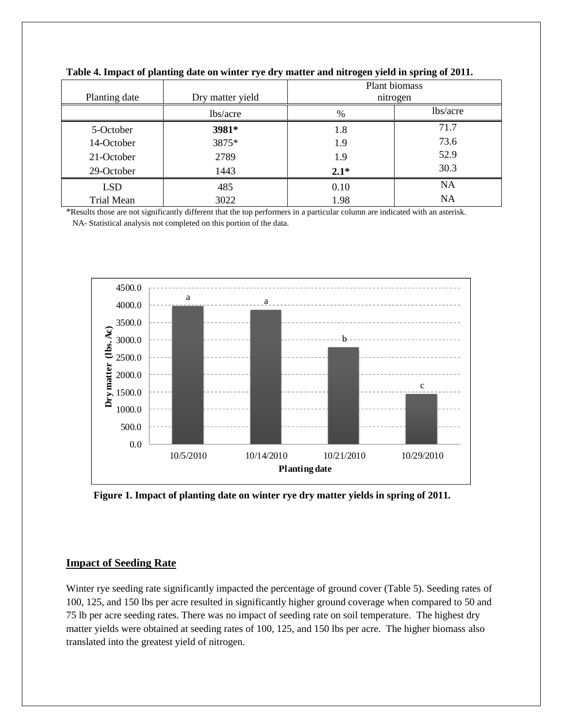|                   |                  | Plant biomass |           |  |
|-------------------|------------------|---------------|-----------|--|
| Planting date     | Dry matter yield | nitrogen      |           |  |
|                   | lbs/acre         | $\frac{0}{0}$ | lbs/acre  |  |
| 5-October         | 3981*            | 1.8           | 71.7      |  |
| 14-October        | 3875*            | 1.9           | 73.6      |  |
| 21-October        | 2789             | 1.9           | 52.9      |  |
| 29-October        | 1443             | $2.1*$        | 30.3      |  |
| <b>LSD</b>        | 485              | 0.10          | <b>NA</b> |  |
| <b>Trial Mean</b> | 3022             | 1.98          | <b>NA</b> |  |

**Table 4. Impact of planting date on winter rye dry matter and nitrogen yield in spring of 2011.**

\*Results those are not significantly different that the top performers in a particular column are indicated with an asterisk. NA- Statistical analysis not completed on this portion of the data.



**Figure 1. Impact of planting date on winter rye dry matter yields in spring of 2011.** 

### **Impact of Seeding Rate**

Winter rye seeding rate significantly impacted the percentage of ground cover (Table 5). Seeding rates of 100, 125, and 150 lbs per acre resulted in significantly higher ground coverage when compared to 50 and 75 lb per acre seeding rates. There was no impact of seeding rate on soil temperature. The highest dry matter yields were obtained at seeding rates of 100, 125, and 150 lbs per acre. The higher biomass also translated into the greatest yield of nitrogen.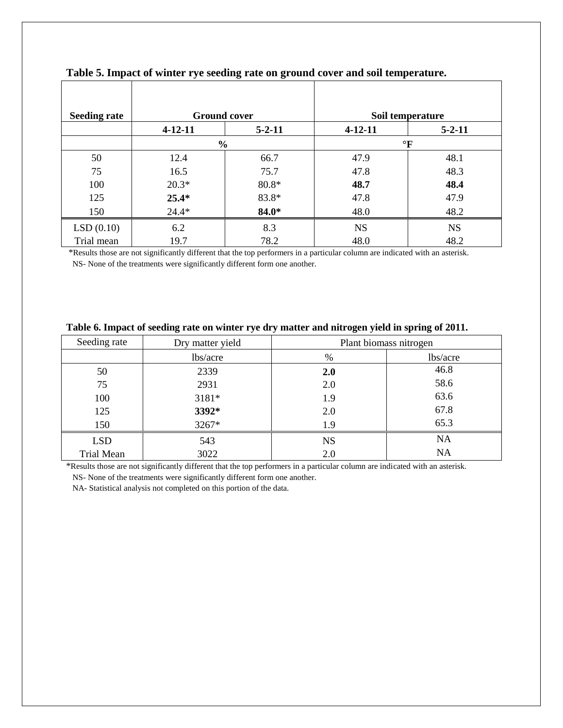| <b>Seeding rate</b> | <b>Ground cover</b> |               |               | Soil temperature |
|---------------------|---------------------|---------------|---------------|------------------|
|                     | $4 - 12 - 11$       | $5 - 2 - 11$  | $4 - 12 - 11$ | $5 - 2 - 11$     |
|                     |                     | $\frac{0}{0}$ | $\mathbf{P}$  |                  |
| 50                  | 12.4                | 66.7          | 47.9          | 48.1             |
| 75                  | 16.5                | 75.7          | 47.8          | 48.3             |
| 100                 | $20.3*$             | $80.8*$       | 48.7          | 48.4             |
| 125                 | $25.4*$             | 83.8*         | 47.8          | 47.9             |
| 150                 | $24.4*$             | 84.0*         | 48.0          | 48.2             |
| LSD(0.10)           | 6.2                 | 8.3           | <b>NS</b>     | <b>NS</b>        |
| Trial mean          | 19.7                | 78.2          | 48.0          | 48.2             |

## **Table 5. Impact of winter rye seeding rate on ground cover and soil temperature.**

\*Results those are not significantly different that the top performers in a particular column are indicated with an asterisk. NS- None of the treatments were significantly different form one another.

| Seeding rate      | Dry matter yield | Plant biomass nitrogen |           |  |
|-------------------|------------------|------------------------|-----------|--|
|                   | lbs/acre         | $\%$                   | lbs/acre  |  |
| 50                | 2339             | 2.0                    | 46.8      |  |
| 75                | 2931             | 2.0                    | 58.6      |  |
| 100               | 3181*            | 1.9                    | 63.6      |  |
| 125               | 3392*            | 2.0                    | 67.8      |  |
| 150               | 3267*            | 1.9                    | 65.3      |  |
| <b>LSD</b>        | 543              | <b>NS</b>              | <b>NA</b> |  |
| <b>Trial Mean</b> | 3022             | 2.0                    | <b>NA</b> |  |

#### **Table 6. Impact of seeding rate on winter rye dry matter and nitrogen yield in spring of 2011.**

\*Results those are not significantly different that the top performers in a particular column are indicated with an asterisk. NS- None of the treatments were significantly different form one another.

NA- Statistical analysis not completed on this portion of the data.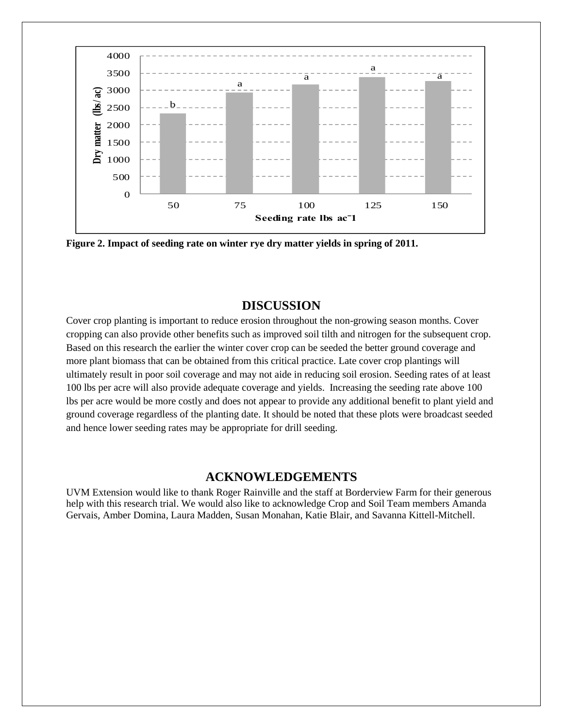

**Figure 2. Impact of seeding rate on winter rye dry matter yields in spring of 2011.**

### **DISCUSSION**

Cover crop planting is important to reduce erosion throughout the non-growing season months. Cover cropping can also provide other benefits such as improved soil tilth and nitrogen for the subsequent crop. Based on this research the earlier the winter cover crop can be seeded the better ground coverage and more plant biomass that can be obtained from this critical practice. Late cover crop plantings will ultimately result in poor soil coverage and may not aide in reducing soil erosion. Seeding rates of at least 100 lbs per acre will also provide adequate coverage and yields. Increasing the seeding rate above 100 lbs per acre would be more costly and does not appear to provide any additional benefit to plant yield and ground coverage regardless of the planting date. It should be noted that these plots were broadcast seeded and hence lower seeding rates may be appropriate for drill seeding.

## **ACKNOWLEDGEMENTS**

UVM Extension would like to thank Roger Rainville and the staff at Borderview Farm for their generous help with this research trial. We would also like to acknowledge Crop and Soil Team members Amanda Gervais, Amber Domina, Laura Madden, Susan Monahan, Katie Blair, and Savanna Kittell-Mitchell.